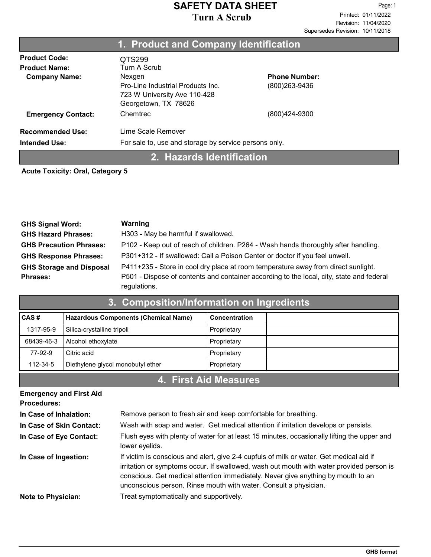|                           | 1. Product and Company Identification                 |                      |
|---------------------------|-------------------------------------------------------|----------------------|
| <b>Product Code:</b>      | QTS299                                                |                      |
| <b>Product Name:</b>      | Turn A Scrub                                          |                      |
| <b>Company Name:</b>      | Nexgen                                                | <b>Phone Number:</b> |
|                           | Pro-Line Industrial Products Inc.                     | (800)263-9436        |
|                           | 723 W University Ave 110-428                          |                      |
|                           | Georgetown, TX 78626                                  |                      |
| <b>Emergency Contact:</b> | Chemtrec                                              | (800)424-9300        |
| <b>Recommended Use:</b>   | Lime Scale Remover                                    |                      |
| <b>Intended Use:</b>      | For sale to, use and storage by service persons only. |                      |
|                           |                                                       |                      |

### 2. Hazards Identification

#### Acute Toxicity: Oral, Category 5

| <b>GHS Signal Word:</b>         | Warning                                                                                                  |
|---------------------------------|----------------------------------------------------------------------------------------------------------|
| <b>GHS Hazard Phrases:</b>      | H303 - May be harmful if swallowed.                                                                      |
| <b>GHS Precaution Phrases:</b>  | P102 - Keep out of reach of children. P264 - Wash hands thoroughly after handling.                       |
| <b>GHS Response Phrases:</b>    | P301+312 - If swallowed: Call a Poison Center or doctor if you feel unwell.                              |
| <b>GHS Storage and Disposal</b> | P411+235 - Store in cool dry place at room temperature away from direct sunlight.                        |
| <b>Phrases:</b>                 | P501 - Dispose of contents and container according to the local, city, state and federal<br>regulations. |

| 3. Composition/Information on Ingredients |                                      |               |  |
|-------------------------------------------|--------------------------------------|---------------|--|
| CAS#                                      | Hazardous Components (Chemical Name) | Concentration |  |
| 1317-95-9                                 | Silica-crystalline tripoli           | Proprietary   |  |
| 68439-46-3                                | Alcohol ethoxylate                   | Proprietary   |  |
| 77-92-9                                   | Citric acid                          | Proprietary   |  |
| 112-34-5                                  | Diethylene glycol monobutyl ether    | Proprietary   |  |
|                                           |                                      |               |  |

# 4. First Aid Measures

| <b>Emergency and First Aid</b><br><b>Procedures:</b> |                                                                                                                                                                                                                                                                                                                                             |
|------------------------------------------------------|---------------------------------------------------------------------------------------------------------------------------------------------------------------------------------------------------------------------------------------------------------------------------------------------------------------------------------------------|
| In Case of Inhalation:                               | Remove person to fresh air and keep comfortable for breathing.                                                                                                                                                                                                                                                                              |
| In Case of Skin Contact:                             | Wash with soap and water. Get medical attention if irritation develops or persists.                                                                                                                                                                                                                                                         |
| In Case of Eye Contact:                              | Flush eyes with plenty of water for at least 15 minutes, occasionally lifting the upper and<br>lower eyelids.                                                                                                                                                                                                                               |
| In Case of Ingestion:                                | If victim is conscious and alert, give 2-4 cupfuls of milk or water. Get medical aid if<br>irritation or symptoms occur. If swallowed, wash out mouth with water provided person is<br>conscious. Get medical attention immediately. Never give anything by mouth to an<br>unconscious person. Rinse mouth with water. Consult a physician. |
| <b>Note to Physician:</b>                            | Treat symptomatically and supportively.                                                                                                                                                                                                                                                                                                     |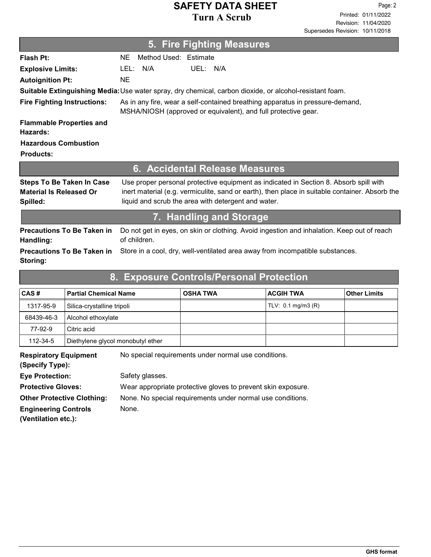#### 5. Fire Fighting Measures Flash Pt: NE Method Used: Estimate As in any fire, wear a self-contained breathing apparatus in pressure-demand, MSHA/NIOSH (approved or equivalent), and full protective gear. Fire Fighting Instructions: Flammable Properties and Hazards: Autoignition Pt: NE Explosive Limits: LEL: N/A UEL: N/A Suitable Extinguishing Media:Use water spray, dry chemical, carbon dioxide, or alcohol-resistant foam. Hazardous Combustion Products: 6. Accidental Release Measures Use proper personal protective equipment as indicated in Section 8. Absorb spill with inert material (e.g. vermiculite, sand or earth), then place in suitable container. Absorb the liquid and scrub the area with detergent and water. Steps To Be Taken In Case Material Is Released Or Spilled: 7. Handling and Storage Do not get in eyes, on skin or clothing. Avoid ingestion and inhalation. Keep out of reach of children. Precautions To Be Taken in Handling: Precautions To Be Taken in Store in a cool, dry, well-ventilated area away from incompatible substances.

| 8. Exposure Controls/Personal Protection        |                                   |                                                      |                               |                     |
|-------------------------------------------------|-----------------------------------|------------------------------------------------------|-------------------------------|---------------------|
| CAS#                                            | <b>Partial Chemical Name</b>      | <b>OSHA TWA</b>                                      | <b>ACGIH TWA</b>              | <b>Other Limits</b> |
| 1317-95-9                                       | Silica-crystalline tripoli        |                                                      | TLV: $0.1 \text{ mg/m}$ 3 (R) |                     |
| 68439-46-3                                      | Alcohol ethoxylate                |                                                      |                               |                     |
| 77-92-9                                         | Citric acid                       |                                                      |                               |                     |
| 112-34-5                                        | Diethylene glycol monobutyl ether |                                                      |                               |                     |
| <b>Respiratory Equipment</b><br>(Specify Type): |                                   | No special requirements under normal use conditions. |                               |                     |

Eye Protection: Safety glasses. **Protective Gloves:** Wear appropriate protective gloves to prevent skin exposure. Other Protective Clothing: None. No special requirements under normal use conditions. Engineering Controls Mone. (Ventilation etc.):

Storing: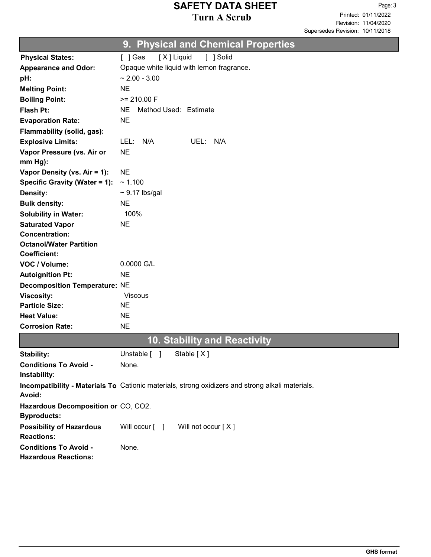Revision: 11/04/2020 Printed: 01/11/2022 Page: 3 Supersedes Revision: 10/11/2018

|  |  |  | 9. Physical and Chemical Properties <sup>।</sup> |  |  |
|--|--|--|--------------------------------------------------|--|--|
|--|--|--|--------------------------------------------------|--|--|

|                                                           | $\frac{1}{2}$                                                                                    |
|-----------------------------------------------------------|--------------------------------------------------------------------------------------------------|
| <b>Physical States:</b>                                   | [X] Liquid<br>[ ] Solid<br>[ ] Gas                                                               |
| <b>Appearance and Odor:</b>                               | Opaque white liquid with lemon fragrance.                                                        |
| pH:                                                       | $\sim$ 2.00 - 3.00                                                                               |
| <b>Melting Point:</b>                                     | <b>NE</b>                                                                                        |
| <b>Boiling Point:</b>                                     | $>= 210.00 F$                                                                                    |
| <b>Flash Pt:</b>                                          | <b>NE</b><br>Method Used: Estimate                                                               |
| <b>Evaporation Rate:</b>                                  | <b>NE</b>                                                                                        |
| Flammability (solid, gas):                                |                                                                                                  |
| <b>Explosive Limits:</b>                                  | LEL: N/A<br>UEL: N/A                                                                             |
| Vapor Pressure (vs. Air or                                | <b>NE</b>                                                                                        |
| $mm Hg$ :                                                 |                                                                                                  |
| Vapor Density (vs. Air = 1):                              | <b>NE</b>                                                                                        |
| Specific Gravity (Water = 1):                             | ~1.100                                                                                           |
| Density:                                                  | $\sim$ 9.17 lbs/gal                                                                              |
| <b>Bulk density:</b>                                      | <b>NE</b>                                                                                        |
| <b>Solubility in Water:</b>                               | 100%                                                                                             |
| <b>Saturated Vapor</b>                                    | <b>NE</b>                                                                                        |
| <b>Concentration:</b>                                     |                                                                                                  |
| <b>Octanol/Water Partition</b>                            |                                                                                                  |
| <b>Coefficient:</b>                                       |                                                                                                  |
| VOC / Volume:                                             | 0.0000 G/L                                                                                       |
| <b>Autoignition Pt:</b>                                   | <b>NE</b>                                                                                        |
| <b>Decomposition Temperature: NE</b>                      |                                                                                                  |
| <b>Viscosity:</b>                                         | <b>Viscous</b>                                                                                   |
| <b>Particle Size:</b>                                     | <b>NE</b>                                                                                        |
| <b>Heat Value:</b>                                        | <b>NE</b>                                                                                        |
| <b>Corrosion Rate:</b>                                    | <b>NE</b>                                                                                        |
|                                                           | <b>10. Stability and Reactivity</b>                                                              |
| Stability:                                                | Stable [X]<br>Unstable [ ]                                                                       |
| <b>Conditions To Avoid -</b>                              | None.                                                                                            |
| Instability:                                              |                                                                                                  |
| Avoid:                                                    | Incompatibility - Materials To Cationic materials, strong oxidizers and strong alkali materials. |
| Hazardous Decomposition or CO, CO2.<br><b>Byproducts:</b> |                                                                                                  |
| <b>Possibility of Hazardous</b>                           | Will occur $\begin{bmatrix} 1 \end{bmatrix}$<br>Will not occur [X]                               |
| <b>Reactions:</b>                                         |                                                                                                  |
| <b>Conditions To Avoid -</b>                              | None.                                                                                            |
| <b>Hazardous Reactions:</b>                               |                                                                                                  |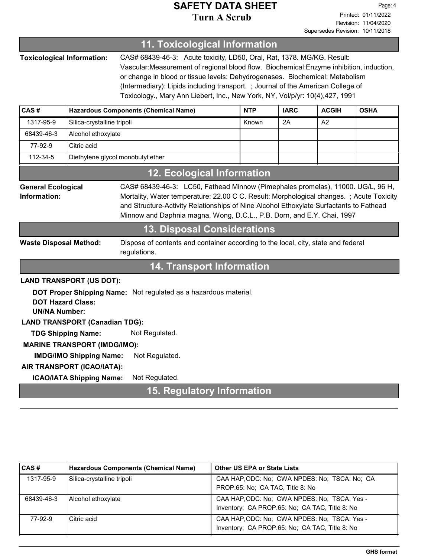|                                                                                                                                                                                                                                                                                                                                                                                                                                                             |                                                                                                                                    | <b>11. Toxicological Information</b>        |            |             |              |             |
|-------------------------------------------------------------------------------------------------------------------------------------------------------------------------------------------------------------------------------------------------------------------------------------------------------------------------------------------------------------------------------------------------------------------------------------------------------------|------------------------------------------------------------------------------------------------------------------------------------|---------------------------------------------|------------|-------------|--------------|-------------|
| <b>Toxicological Information:</b><br>CAS# 68439-46-3: Acute toxicity, LD50, Oral, Rat, 1378. MG/KG. Result:<br>Vascular: Measurement of regional blood flow. Biochemical: Enzyme inhibition, induction,<br>or change in blood or tissue levels: Dehydrogenases. Biochemical: Metabolism<br>(Intermediary): Lipids including transport. ; Journal of the American College of<br>Toxicology., Mary Ann Liebert, Inc., New York, NY, Vol/p/yr: 10(4),427, 1991 |                                                                                                                                    |                                             |            |             |              |             |
| CAS#                                                                                                                                                                                                                                                                                                                                                                                                                                                        |                                                                                                                                    | <b>Hazardous Components (Chemical Name)</b> | <b>NTP</b> | <b>IARC</b> | <b>ACGIH</b> | <b>OSHA</b> |
| 1317-95-9                                                                                                                                                                                                                                                                                                                                                                                                                                                   | Silica-crystalline tripoli                                                                                                         |                                             | Known      | 2A          | A2           |             |
| 68439-46-3                                                                                                                                                                                                                                                                                                                                                                                                                                                  | Alcohol ethoxylate                                                                                                                 |                                             |            |             |              |             |
| 77-92-9                                                                                                                                                                                                                                                                                                                                                                                                                                                     | Citric acid                                                                                                                        |                                             |            |             |              |             |
| 112-34-5                                                                                                                                                                                                                                                                                                                                                                                                                                                    | Diethylene glycol monobutyl ether                                                                                                  |                                             |            |             |              |             |
|                                                                                                                                                                                                                                                                                                                                                                                                                                                             |                                                                                                                                    | <b>12. Ecological Information</b>           |            |             |              |             |
| CAS# 68439-46-3: LC50, Fathead Minnow (Pimephales promelas), 11000. UG/L, 96 H,<br><b>General Ecological</b><br>Information:<br>Mortality, Water temperature: 22.00 C C. Result: Morphological changes. ; Acute Toxicity<br>and Structure-Activity Relationships of Nine Alcohol Ethoxylate Surfactants to Fathead<br>Minnow and Daphnia magna, Wong, D.C.L., P.B. Dorn, and E.Y. Chai, 1997<br><b>13. Disposal Considerations</b>                          |                                                                                                                                    |                                             |            |             |              |             |
|                                                                                                                                                                                                                                                                                                                                                                                                                                                             | <b>Waste Disposal Method:</b><br>Dispose of contents and container according to the local, city, state and federal<br>regulations. |                                             |            |             |              |             |
| <b>14. Transport Information</b>                                                                                                                                                                                                                                                                                                                                                                                                                            |                                                                                                                                    |                                             |            |             |              |             |
| <b>LAND TRANSPORT (US DOT):</b><br>DOT Proper Shipping Name: Not regulated as a hazardous material.<br><b>DOT Hazard Class:</b><br><b>UN/NA Number:</b><br><b>LAND TRANSPORT (Canadian TDG):</b><br>Not Regulated.<br><b>TDG Shipping Name:</b><br><b>MARINE TRANSPORT (IMDG/IMO):</b><br>Not Regulated.<br><b>IMDG/IMO Shipping Name:</b><br>AIR TRANSPORT (ICAO/IATA):                                                                                    |                                                                                                                                    |                                             |            |             |              |             |
|                                                                                                                                                                                                                                                                                                                                                                                                                                                             | <b>ICAO/IATA Shipping Name:</b><br>Not Regulated.                                                                                  |                                             |            |             |              |             |
|                                                                                                                                                                                                                                                                                                                                                                                                                                                             |                                                                                                                                    | <b>15. Regulatory Information</b>           |            |             |              |             |

| CAS#       | Hazardous Components (Chemical Name) | <b>Other US EPA or State Lists</b>                                                             |
|------------|--------------------------------------|------------------------------------------------------------------------------------------------|
| 1317-95-9  | Silica-crystalline tripoli           | CAA HAP, ODC: No; CWA NPDES: No; TSCA: No; CA<br>PROP.65: No; CA TAC, Title 8: No              |
| 68439-46-3 | Alcohol ethoxylate                   | CAA HAP, ODC: No: CWA NPDES: No: TSCA: Yes -<br>Inventory; CA PROP.65: No; CA TAC, Title 8: No |
| 77-92-9    | Citric acid                          | CAA HAP, ODC: No: CWA NPDES: No: TSCA: Yes -<br>Inventory; CA PROP.65: No; CA TAC, Title 8: No |